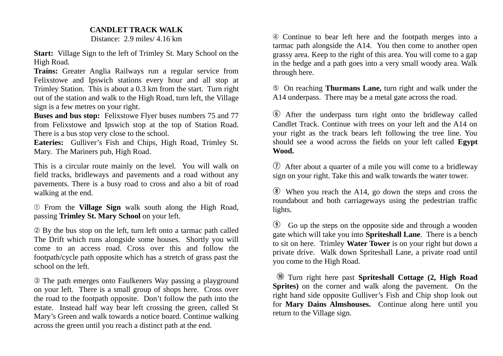## **CANDLET TRACK WALK**

Distance: 2.9 miles/ 4.16 km

**Start:** Village Sign to the left of Trimley St. Mary School on the High Road.

**Trains:** Greater Anglia Railways run a regular service from Felixstowe and Ipswich stations every hour and all stop at Trimley Station. This is about a 0.3 km from the start. Turn right out of the station and walk to the High Road, turn left, the Village sign is a few metres on your right.

**Buses and bus stop:** Felixstowe Flyer buses numbers 75 and 77 from Felixstowe and Ipswich stop at the top of Station Road. There is a bus stop very close to the school.

**Eateries:** Gulliver's Fish and Chips, High Road, Trimley St. Mary. The Mariners pub, High Road.

This is a circular route mainly on the level. You will walk on field tracks, bridleways and pavements and a road without any pavements. There is a busy road to cross and also a bit of road walking at the end.

➀ From the **Village Sign** walk south along the High Road, passing **Trimley St. Mary School** on your left.

➁ By the bus stop on the left, turn left onto a tarmac path called The Drift which runs alongside some houses. Shortly you will come to an access road. Cross over this and follow the footpath/cycle path opposite which has a stretch of grass past the school on the left.

➂ The path emerges onto Faulkeners Way passing a playground on your left. There is a small group of shops here. Cross over the road to the footpath opposite. Don't follow the path into the estate. Instead half way bear left crossing the green, called St Mary's Green and walk towards a notice board. Continue walking across the green until you reach a distinct path at the end.

➃ Continue to bear left here and the footpath merges into a tarmac path alongside the A14. You then come to another open grassy area. Keep to the right of this area. You will come to a gap in the hedge and a path goes into a very small woody area. Walk through here.

➄ On reaching **Thurmans Lane,** turn right and walk under the A14 underpass. There may be a metal gate across the road.

y After the underpass turn right onto the bridleway called Candlet Track. Continue with trees on your left and the A14 on your right as the track bears left following the tree line. You should see a wood across the fields on your left called **Egypt Wood.**

 $\overline{v}$  After about a quarter of a mile you will come to a bridleway sign on your right. Take this and walk towards the water tower.

i When you reach the A14, go down the steps and cross the roundabout and both carriageways using the pedestrian traffic lights.

o Go up the steps on the opposite side and through a wooden gate which will take you into **Spriteshall Lane**. There is a bench to sit on here. Trimley **Water Tower** is on your right but down a private drive. Walk down Spriteshall Lane, a private road until you come to the High Road.

a Turn right here past **Spriteshall Cottage (2, High Road Sprites)** on the corner and walk along the pavement. On the right hand side opposite Gulliver's Fish and Chip shop look out for **Mary Dains Almshouses.** Continue along here until you return to the Village sign.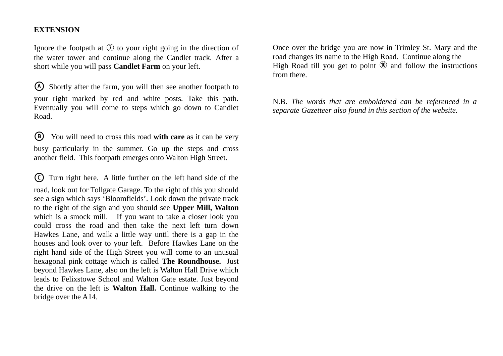## **EXTENSION**

Ignore the footpath at  $\overline{v}$  to your right going in the direction of the water tower and continue along the Candlet track. After a short while you will pass **Candlet Farm** on your left.

A Shortly after the farm, you will then see another footpath to your right marked by red and white posts. Take this path. Eventually you will come to steps which go down to Candlet Road.

B You will need to cross this road **with care** as it can be very busy particularly in the summer. Go up the steps and cross another field. This footpath emerges onto Walton High Street.

C Turn right here. A little further on the left hand side of the road, look out for Tollgate Garage. To the right of this you should see a sign which says 'Bloomfields'. Look down the private track to the right of the sign and you should see **Upper Mill, Walton** which is a smock mill. If you want to take a closer look you could cross the road and then take the next left turn down Hawkes Lane, and walk a little way until there is a gap in the houses and look over to your left. Before Hawkes Lane on the right hand side of the High Street you will come to an unusual hexagonal pink cottage which is called **The Roundhouse.** Just beyond Hawkes Lane, also on the left is Walton Hall Drive which leads to Felixstowe School and Walton Gate estate. Just beyond the drive on the left is **Walton Hall.** Continue walking to the bridge over the A14.

Once over the bridge you are now in Trimley St. Mary and the road changes its name to the High Road. Continue along the High Road till you get to point  $\omega$  and follow the instructions from there.

N.B. *The words that are emboldened can be referenced in a separate Gazetteer also found in this section of the website.*